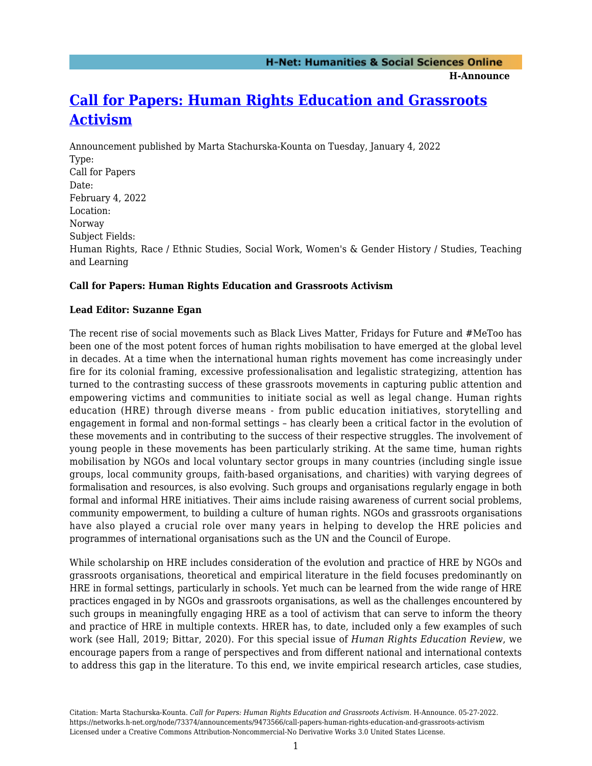**H-Announce** 

## **[Call for Papers: Human Rights Education and Grassroots](https://networks.h-net.org/node/73374/announcements/9473566/call-papers-human-rights-education-and-grassroots-activism) [Activism](https://networks.h-net.org/node/73374/announcements/9473566/call-papers-human-rights-education-and-grassroots-activism)**

Announcement published by Marta Stachurska-Kounta on Tuesday, January 4, 2022 Type: Call for Papers Date: February 4, 2022 Location: Norway Subject Fields: Human Rights, Race / Ethnic Studies, Social Work, Women's & Gender History / Studies, Teaching and Learning

## **Call for Papers: Human Rights Education and Grassroots Activism**

## **Lead Editor: Suzanne Egan**

The recent rise of social movements such as Black Lives Matter, Fridays for Future and #MeToo has been one of the most potent forces of human rights mobilisation to have emerged at the global level in decades. At a time when the international human rights movement has come increasingly under fire for its colonial framing, excessive professionalisation and legalistic strategizing, attention has turned to the contrasting success of these grassroots movements in capturing public attention and empowering victims and communities to initiate social as well as legal change. Human rights education (HRE) through diverse means - from public education initiatives, storytelling and engagement in formal and non-formal settings – has clearly been a critical factor in the evolution of these movements and in contributing to the success of their respective struggles. The involvement of young people in these movements has been particularly striking. At the same time, human rights mobilisation by NGOs and local voluntary sector groups in many countries (including single issue groups, local community groups, faith-based organisations, and charities) with varying degrees of formalisation and resources, is also evolving. Such groups and organisations regularly engage in both formal and informal HRE initiatives. Their aims include raising awareness of current social problems, community empowerment, to building a culture of human rights. NGOs and grassroots organisations have also played a crucial role over many years in helping to develop the HRE policies and programmes of international organisations such as the UN and the Council of Europe.

While scholarship on HRE includes consideration of the evolution and practice of HRE by NGOs and grassroots organisations, theoretical and empirical literature in the field focuses predominantly on HRE in formal settings, particularly in schools. Yet much can be learned from the wide range of HRE practices engaged in by NGOs and grassroots organisations, as well as the challenges encountered by such groups in meaningfully engaging HRE as a tool of activism that can serve to inform the theory and practice of HRE in multiple contexts. HRER has, to date, included only a few examples of such work (see Hall, 2019; Bittar, 2020). For this special issue of *Human Rights Education Review*, we encourage papers from a range of perspectives and from different national and international contexts to address this gap in the literature. To this end, we invite empirical research articles, case studies,